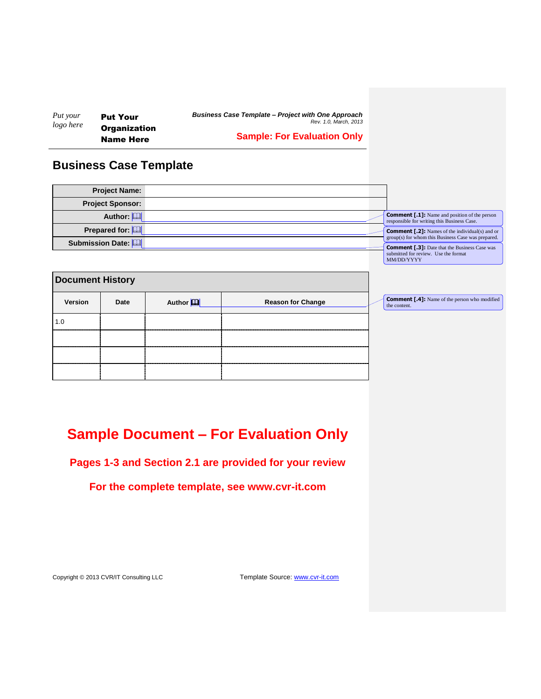| Put your  | <b>Put Your</b>                         | <b>Business Case Template - Project with One Approach</b><br>Rev. 1.0. March. 2013 |  |  |  |
|-----------|-----------------------------------------|------------------------------------------------------------------------------------|--|--|--|
| logo here | <b>Organization</b><br><b>Name Here</b> | <b>Sample: For Evaluation Only</b>                                                 |  |  |  |

# **Business Case Template**

| <b>Project Name:</b>    |  |                                                                                                              |
|-------------------------|--|--------------------------------------------------------------------------------------------------------------|
| <b>Project Sponsor:</b> |  |                                                                                                              |
| Author: [               |  | <b>Comment [.1]:</b> Name and position of the person<br>responsible for writing this Business Case.          |
| Prepared for:           |  | <b>Comment [.2]:</b> Names of the individual(s) and or<br>group(s) for whom this Business Case was prepared. |
| Submission Date: [99]   |  | <b>Comment [.3]:</b> Date that the Business Case was<br>submitted for review. Use the format<br>MM/DD/YYYY   |

**Comment [.4]:** Name of the person who modified the content.

<span id="page-0-0"></span>

| <b>Document History</b> |      |                      |                          |  |  |
|-------------------------|------|----------------------|--------------------------|--|--|
| Version                 | Date | Author <sup>11</sup> | <b>Reason for Change</b> |  |  |
| 1.0                     |      |                      |                          |  |  |
|                         |      |                      |                          |  |  |
|                         |      |                      |                          |  |  |
|                         |      |                      |                          |  |  |

# **Sample Document – For Evaluation Only**

**Pages 1-3 and Section 2.1 are provided for your review**

**For the complete template, see www.cvr-it.com**

Copyright © 2013 CVR/IT Consulting LLC Template Source: www.cvr-it.com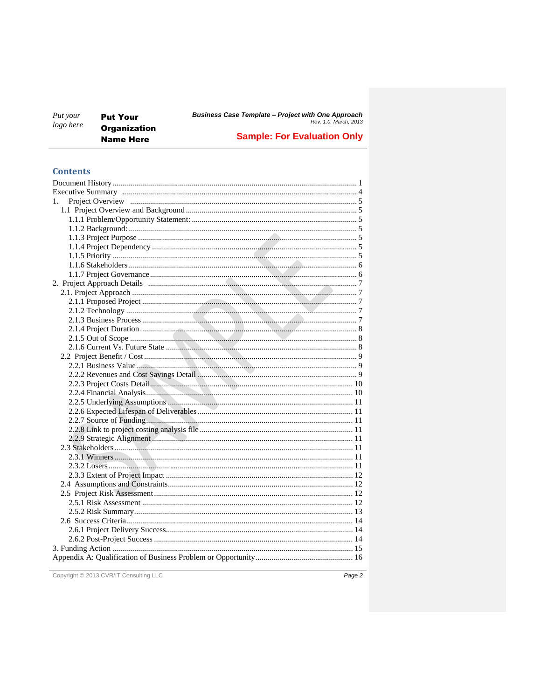| Put your<br>logo here | <b>Put Your</b>                         | <b>Business Case Template - Project with One Approach</b><br>Rev. 1.0. March. 2013 |  |  |  |
|-----------------------|-----------------------------------------|------------------------------------------------------------------------------------|--|--|--|
|                       | <b>Organization</b><br><b>Name Here</b> | <b>Sample: For Evaluation Only</b>                                                 |  |  |  |

## **Contents**

| 1. |  |
|----|--|
|    |  |
|    |  |
|    |  |
|    |  |
|    |  |
|    |  |
|    |  |
|    |  |
|    |  |
|    |  |
|    |  |
|    |  |
|    |  |
|    |  |
|    |  |
|    |  |
|    |  |
|    |  |
|    |  |
|    |  |
|    |  |
|    |  |
|    |  |
|    |  |
|    |  |
|    |  |
|    |  |
|    |  |
|    |  |
|    |  |
|    |  |
|    |  |
|    |  |
|    |  |
|    |  |
|    |  |
|    |  |
|    |  |
|    |  |
|    |  |
|    |  |

Copyright © 2013 CVR/IT Consulting LLC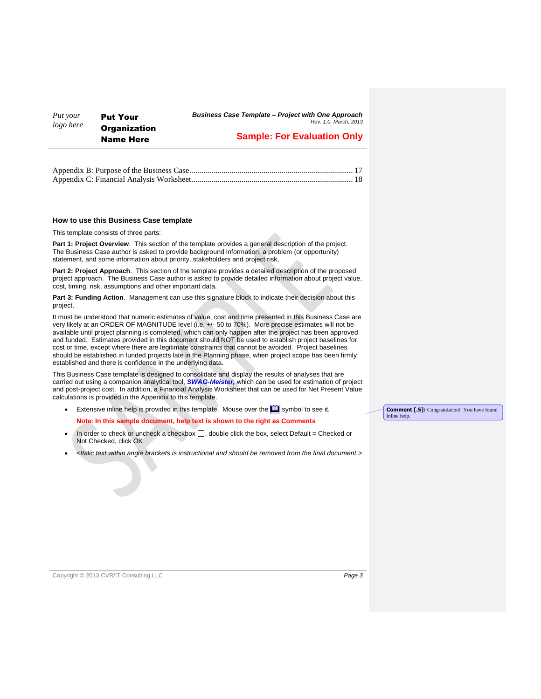| Put your  | <b>Put Your</b>                         | <b>Business Case Template - Project with One Approach</b><br>Rev. 1.0. March. 2013 |  |  |  |
|-----------|-----------------------------------------|------------------------------------------------------------------------------------|--|--|--|
| logo here | <b>Organization</b><br><b>Name Here</b> | <b>Sample: For Evaluation Only</b>                                                 |  |  |  |

#### **How to use this Business Case template**

This template consists of three parts:

**Part 1: Project Overview**. This section of the template provides a general description of the project. The Business Case author is asked to provide background information, a problem (or opportunity) statement, and some information about priority, stakeholders and project risk.

**Part 2: Project Approach**. This section of the template provides a detailed description of the proposed project approach. The Business Case author is asked to provide detailed information about project value, cost, timing, risk, assumptions and other important data.

**Part 3: Funding Action**. Management can use this signature block to indicate their decision about this project.

It must be understood that numeric estimates of value, cost and time presented in this Business Case are very likely at an ORDER OF MAGNITUDE level (i.e. +/- 50 to 70%). More precise estimates will not be available until project planning is completed, which can only happen after the project has been approved and funded. Estimates provided in this document should NOT be used to establish project baselines for cost or time, except where there are legitimate constraints that cannot be avoided. Project baselines should be established in funded projects late in the Planning phase, when project scope has been firmly established and there is confidence in the underlying data.

This Business Case template is designed to consolidate and display the results of analyses that are carried out using a companion analytical tool, *SWAG-Meister,* which can be used for estimation of project and post-project cost. In addition, a Financial Analysis Worksheet that can be used for Net Present Value calculations is provided in the Appendix to this template.

- Extensive inline help is provided in this template. Mouse over the  $\Box$  symbol to see it. **Note: In this sample document, help text is shown to the right as Comments Comment [.5]:** Congratulation! You have found inline help.
- In order to check or uncheck a checkbox  $\Box$ , double click the box, select Default = Checked or Not Checked, click OK
- *<Italic text within angle brackets is instructional and should be removed from the final document.>*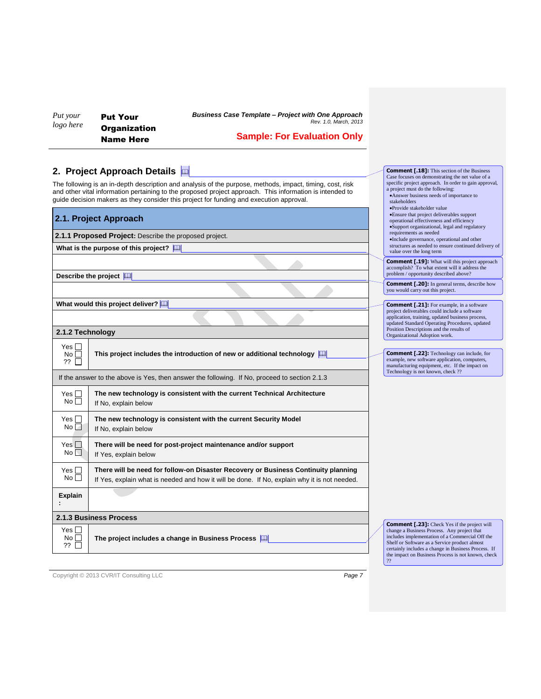| Put your  | <b>Put You</b> |
|-----------|----------------|
| logo here | <b>Organiz</b> |
|           | Name L         |

ur zation Name Here

*Business Case Template – Project with One Approach Rev. 1.0, March, 2013*

# **Sample: For Evaluation Only**

**Comment [.18]:** This section of the Business<br>Case focuses on demonstrating the net value of a<br>specific project approach. In order to gain approval,<br>a project must do the following:

Answer business needs of importance to

stakeholders Provide stakeholder value

## **2. Project Approach Details**

The following is an in-depth description and analysis of the purpose, methods, impact, timing, cost, risk and other vital information pertaining to the proposed project approach. This information is intended to guide decision makers as they consider this project for funding and execution approval.

| 2.1. Project Approach                                  |                                                                                                                                                                                    |  | -i toviac stakcholact value<br>•Ensure that project deliverables support<br>operational effectiveness and efficiency<br>•Support organizational, legal and regulatory                                                                                         |  |
|--------------------------------------------------------|------------------------------------------------------------------------------------------------------------------------------------------------------------------------------------|--|---------------------------------------------------------------------------------------------------------------------------------------------------------------------------------------------------------------------------------------------------------------|--|
| 2.1.1 Proposed Project: Describe the proposed project. |                                                                                                                                                                                    |  | requirements as needed<br>·Include governance, operational and other                                                                                                                                                                                          |  |
|                                                        | What is the purpose of this project? $\Box$                                                                                                                                        |  | structures as needed to ensure continued delivery of<br>value over the long term                                                                                                                                                                              |  |
|                                                        | Describe the project [1]                                                                                                                                                           |  | <b>Comment [.19]:</b> What will this project approach<br>accomplish? To what extent will it address the<br>problem / opportunity described above?                                                                                                             |  |
|                                                        |                                                                                                                                                                                    |  | <b>Comment [.20]:</b> In general terms, describe how<br>you would carry out this project.                                                                                                                                                                     |  |
|                                                        | What would this project deliver?                                                                                                                                                   |  | <b>Comment [.21]:</b> For example, in a software                                                                                                                                                                                                              |  |
| 2.1.2 Technology                                       |                                                                                                                                                                                    |  | project deliverables could include a software<br>application, training, updated business process,<br>updated Standard Operating Procedures, updated<br>Position Descriptions and the results of                                                               |  |
|                                                        |                                                                                                                                                                                    |  | Organizational Adoption work.                                                                                                                                                                                                                                 |  |
| Yes II<br>No<br>?? □                                   | This project includes the introduction of new or additional technology $\Box$                                                                                                      |  | <b>Comment [.22]:</b> Technology can include, for<br>example, new software application, computers,<br>manufacturing equipment, etc. If the impact on                                                                                                          |  |
|                                                        | If the answer to the above is Yes, then answer the following. If No, proceed to section 2.1.3                                                                                      |  | Technology is not known, check ??                                                                                                                                                                                                                             |  |
| Yes $\Box$<br>No                                       | The new technology is consistent with the current Technical Architecture<br>If No, explain below                                                                                   |  |                                                                                                                                                                                                                                                               |  |
| Yes $\Box$<br>No                                       | The new technology is consistent with the current Security Model<br>If No, explain below                                                                                           |  |                                                                                                                                                                                                                                                               |  |
| Yes $\Box$<br>No                                       | There will be need for post-project maintenance and/or support<br>If Yes, explain below                                                                                            |  |                                                                                                                                                                                                                                                               |  |
| Yes $\Box$<br>No <sub>1</sub>                          | There will be need for follow-on Disaster Recovery or Business Continuity planning<br>If Yes, explain what is needed and how it will be done. If No, explain why it is not needed. |  |                                                                                                                                                                                                                                                               |  |
| <b>Explain</b>                                         |                                                                                                                                                                                    |  |                                                                                                                                                                                                                                                               |  |
|                                                        | 2.1.3 Business Process                                                                                                                                                             |  |                                                                                                                                                                                                                                                               |  |
| Yes $\Box$<br>No <sub>1</sub><br>$??$ $\Box$           | The project includes a change in Business Process                                                                                                                                  |  | <b>Comment [.23]:</b> Check Yes if the project will<br>change a Business Process. Any project that<br>includes implementation of a Commercial Off the<br>Shelf or Software as a Service product almost<br>certainly includes a change in Business Process. If |  |
|                                                        |                                                                                                                                                                                    |  | the impact on Business Process is not known, check<br>22                                                                                                                                                                                                      |  |

Copyright © 2013 CVR/IT Consulting LLC *Page 7*